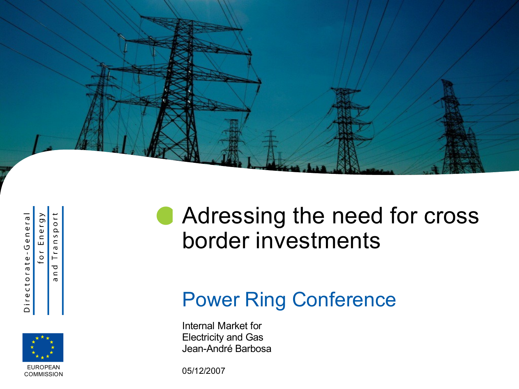

Directorate-General

Energy  $\overline{\circ}$  $\Omega$  $\overline{a}$  $\subset$  $Tra$  $\overline{0}$ ರ  $\mathrel{\mathop{\mathsf{c}}\nolimits}$  $\sigma$ 



## **Adressing the need for cross** border investments

#### Power Ring Conference

Internal Market for Electricity and Gas Jean-André Barbosa

05/12/2007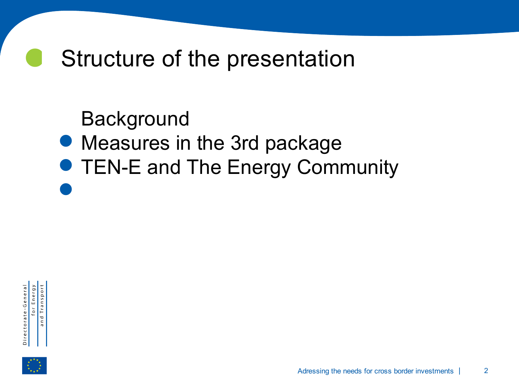### Structure of the presentation

**Background** 

- .
- . • Measures in the 3rd package<br>• TEN-E and The Energy Come **• TEN-E and The Energy Community**



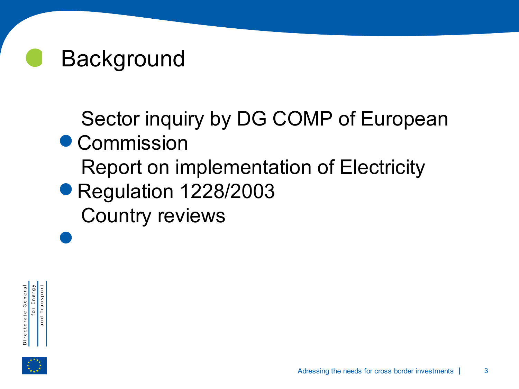

Sector inquiry by DG COMP of European

- . Commission .<br>.<br>. Report on implementation of Electricity
- Regulation 1228/2003<br>Country reviews Country reviews

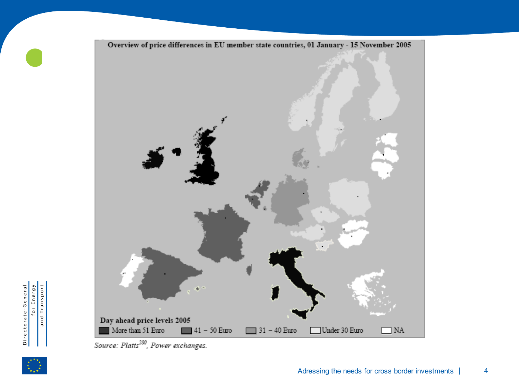

Source: Platts<sup>280</sup>, Power exchanges.



 $\bullet$ 

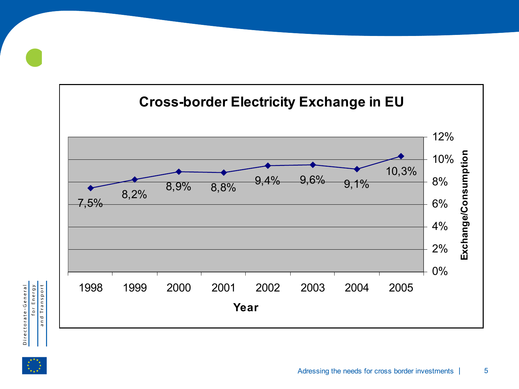

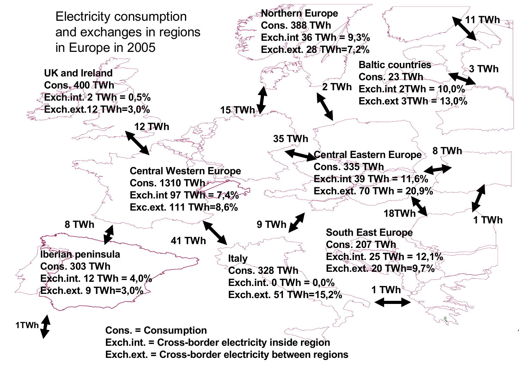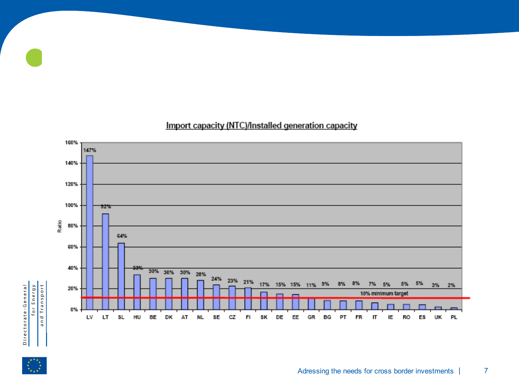





 $\bullet$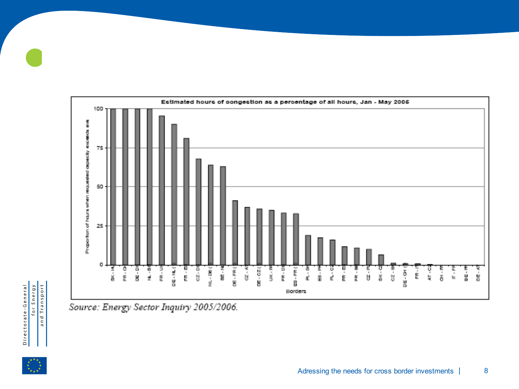25  $\circ$ **OK - HL**  $FR - G$ D.<br>B NL - DE for Energy<br>and Transport Source: Energy Sector Inquiry 2005/2006.

Directorate-General

 $\bullet$ 





Estimated hours of congestion as a percentage of all hours, Jan - May 2006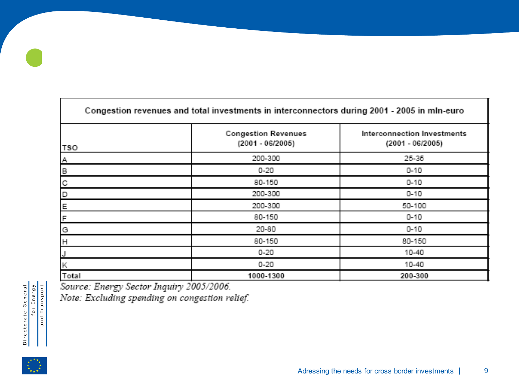| Congestion revenues and total investments in interconnectors during 2001 - 2005 in mln-euro |                                                |                                                 |
|---------------------------------------------------------------------------------------------|------------------------------------------------|-------------------------------------------------|
| <b>TSO</b>                                                                                  | <b>Congestion Revenues</b><br>(2001 - 06/2005) | Interconnection Investments<br>(2001 - 06/2005) |
| Α                                                                                           | 200-300                                        | 25-35                                           |
| $\mathsf B$                                                                                 | $0 - 20$                                       | $0 - 10$                                        |
| С                                                                                           | 80-150                                         | $0 - 10$                                        |
| D                                                                                           | 200-300                                        | $0 - 10$                                        |
| Ε                                                                                           | 200-300                                        | 50-100                                          |
| F                                                                                           | 80-150                                         | $0 - 10$                                        |
| G                                                                                           | 20-80                                          | $0 - 10$                                        |
| н                                                                                           | 80-150                                         | 80-150                                          |
| J                                                                                           | $0 - 20$                                       | 10-40                                           |
| Κ                                                                                           | $0 - 20$                                       | 10-40                                           |
| Total                                                                                       | 1000-1300                                      | 200-300                                         |

Source: Energy Sector Inquiry 2005/2006.

Note: Excluding spending on congestion relief.



 $\bullet$ 

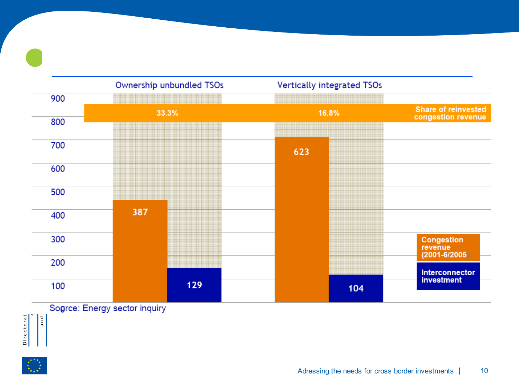

Sogree: Energy sector inquiry and

Directorat

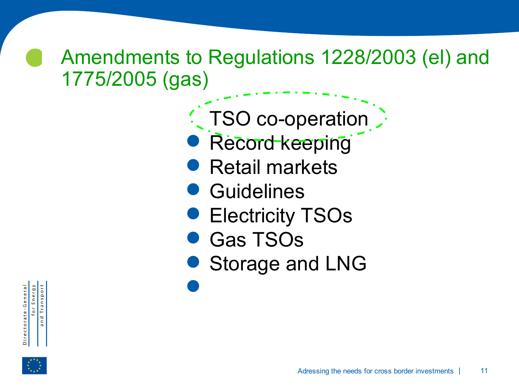#### Amendments to Regulations 1228/2003 (el) and 1775/2005 (gas)

- . TSO co-operation .<br>.<br>.
- Record keeping .<br>.<br>.
- Retail markets **.**<br>.
	- **Guidelines**
- **.**<br>.
	- Gas TSOs
- Electricity TSOs<br>• Gas TSOs<br>• Storage and LN . Storage and LNG

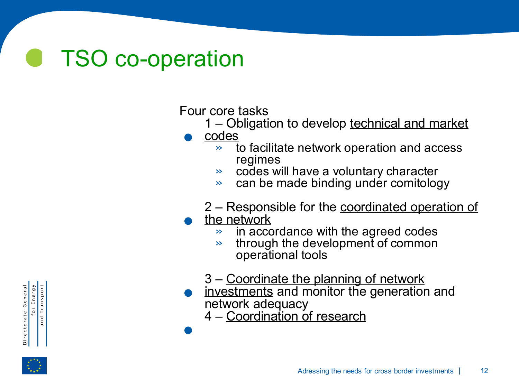# TSO co-operation

Four core tasks Fol<br>•

1 – Obligation to develop technical and market

codes

- » to facilitate network operation and access regimes
- » codes will have a voluntary character
- » can be made binding under comitology
- 2 Responsible for the coordinated operation of
- . the network
	- » in accordance with the agreed codes
	- $\rightarrow$  through the development of common operational tools
	- 3 Coordinate the planning of network
- . investments and monitor the generation and network adequacy .

4 – Coordination of research



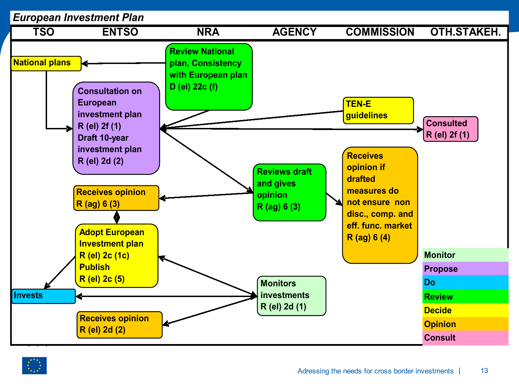

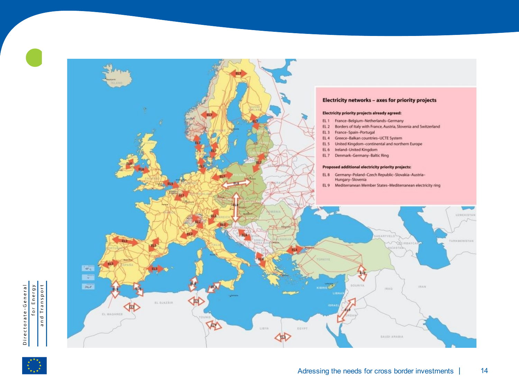



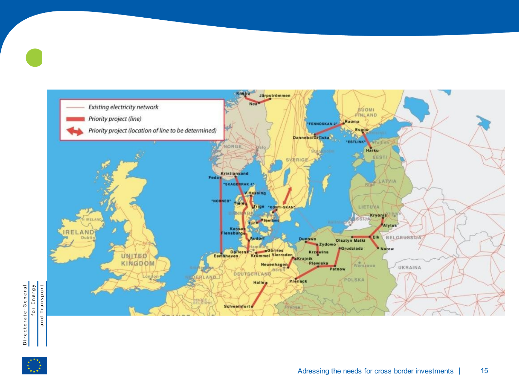

 $\bullet$ 

Adressing the needs for cross border investments | 15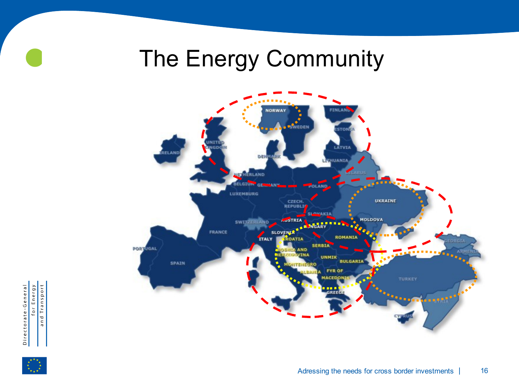### The Energy Community



for Energy<br>and Transport Directorate-General